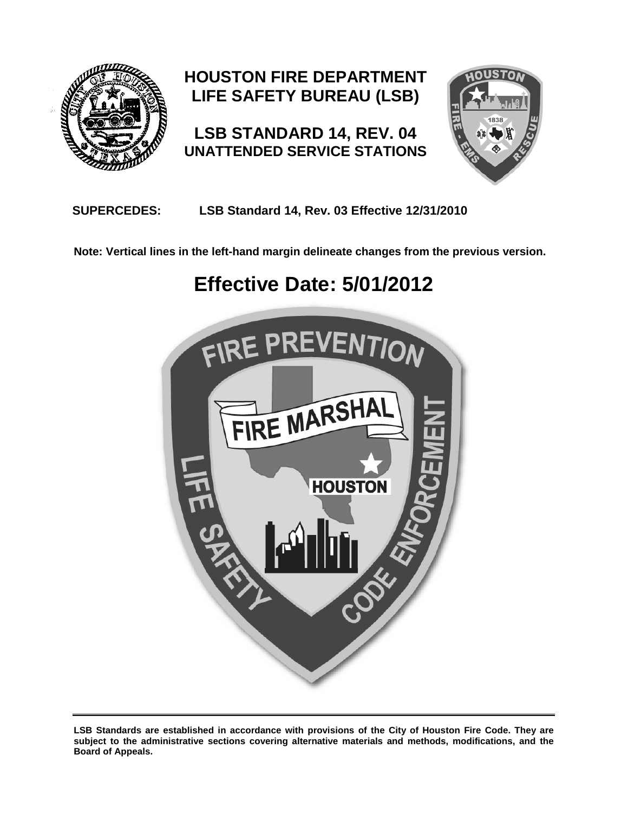

# **HOUSTON FIRE DEPARTMENT LIFE SAFETY BUREAU (LSB)**

**LSB STANDARD 14, REV. 04 UNATTENDED SERVICE STATIONS**



## **SUPERCEDES: LSB Standard 14, Rev. 03 Effective 12/31/2010**

**Note: Vertical lines in the left-hand margin delineate changes from the previous version.**

# **Effective Date: 5/01/2012**



**LSB Standards are established in accordance with provisions of the City of Houston Fire Code. They are subject to the administrative sections covering alternative materials and methods, modifications, and the Board of Appeals.**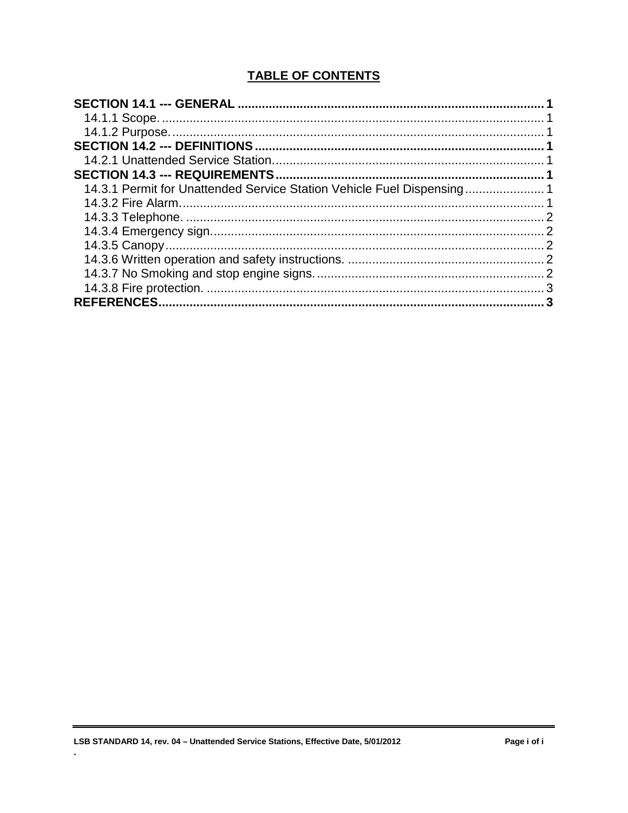## **TABLE OF CONTENTS**

| 14.3.1 Permit for Unattended Service Station Vehicle Fuel Dispensing 1 |  |
|------------------------------------------------------------------------|--|
|                                                                        |  |
|                                                                        |  |
|                                                                        |  |
|                                                                        |  |
|                                                                        |  |
|                                                                        |  |
|                                                                        |  |
|                                                                        |  |
|                                                                        |  |

 $\ddot{\phantom{a}}$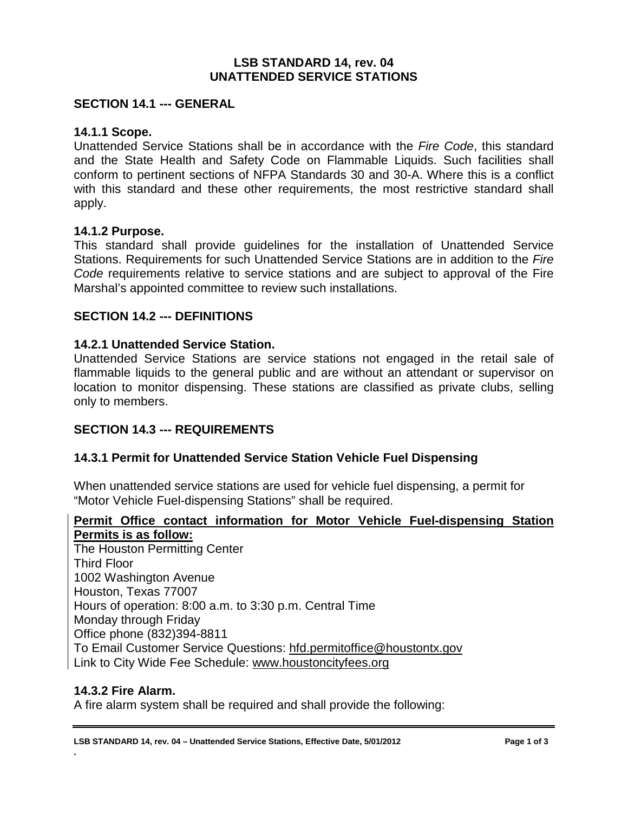#### **LSB STANDARD 14, rev. 04 UNATTENDED SERVICE STATIONS**

#### <span id="page-2-0"></span>**SECTION 14.1 --- GENERAL**

#### <span id="page-2-1"></span>**14.1.1 Scope.**

Unattended Service Stations shall be in accordance with the *Fire Code*, this standard and the State Health and Safety Code on Flammable Liquids. Such facilities shall conform to pertinent sections of NFPA Standards 30 and 30-A. Where this is a conflict with this standard and these other requirements, the most restrictive standard shall apply.

#### <span id="page-2-2"></span>**14.1.2 Purpose.**

This standard shall provide guidelines for the installation of Unattended Service Stations. Requirements for such Unattended Service Stations are in addition to the *Fire Code* requirements relative to service stations and are subject to approval of the Fire Marshal's appointed committee to review such installations.

#### <span id="page-2-3"></span>**SECTION 14.2 --- DEFINITIONS**

#### <span id="page-2-4"></span>**14.2.1 Unattended Service Station.**

Unattended Service Stations are service stations not engaged in the retail sale of flammable liquids to the general public and are without an attendant or supervisor on location to monitor dispensing. These stations are classified as private clubs, selling only to members.

#### <span id="page-2-5"></span>**SECTION 14.3 --- REQUIREMENTS**

#### <span id="page-2-6"></span>**14.3.1 Permit for Unattended Service Station Vehicle Fuel Dispensing**

When unattended service stations are used for vehicle fuel dispensing, a permit for "Motor Vehicle Fuel-dispensing Stations" shall be required.

#### **Permit Office contact information for Motor Vehicle Fuel-dispensing Station Permits is as follow:**

The Houston Permitting Center Third Floor 1002 Washington Avenue Houston, Texas 77007 Hours of operation: 8:00 a.m. to 3:30 p.m. Central Time Monday through Friday Office phone (832)394-8811 To Email Customer Service Questions: [hfd.permitoffice@houstontx.gov](mailto:hfd.permitoffice@houstontx.gov) Link to City Wide Fee Schedule: [www.houstoncityfees.org](http://www.houstoncityfees.org/)

#### <span id="page-2-7"></span>**14.3.2 Fire Alarm.**

**.**

A fire alarm system shall be required and shall provide the following: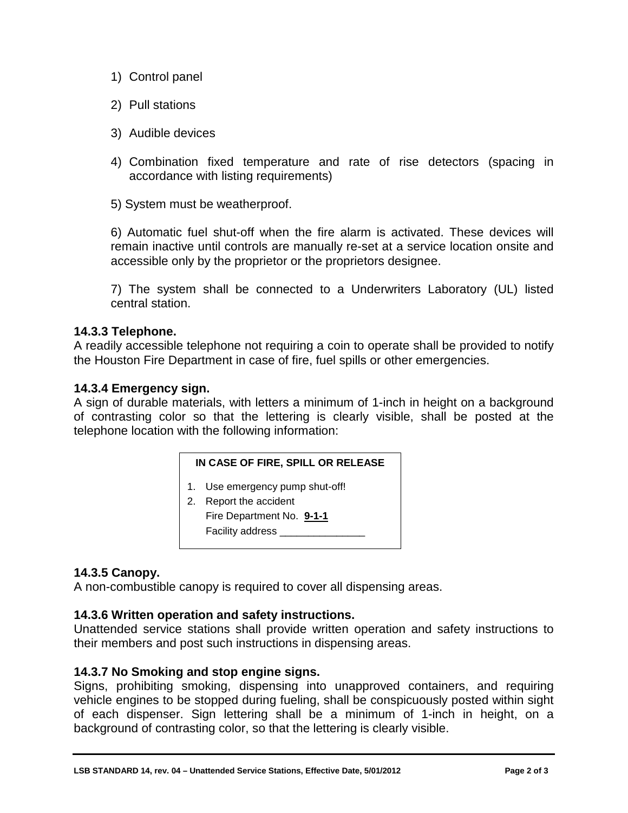- 1) Control panel
- 2) Pull stations
- 3) Audible devices
- 4) Combination fixed temperature and rate of rise detectors (spacing in accordance with listing requirements)

5) System must be weatherproof.

6) Automatic fuel shut-off when the fire alarm is activated. These devices will remain inactive until controls are manually re-set at a service location onsite and accessible only by the proprietor or the proprietors designee.

7) The system shall be connected to a Underwriters Laboratory (UL) listed central station.

#### <span id="page-3-0"></span>**14.3.3 Telephone.**

A readily accessible telephone not requiring a coin to operate shall be provided to notify the Houston Fire Department in case of fire, fuel spills or other emergencies.

#### <span id="page-3-1"></span>**14.3.4 Emergency sign.**

A sign of durable materials, with letters a minimum of 1-inch in height on a background of contrasting color so that the lettering is clearly visible, shall be posted at the telephone location with the following information:

| IN CASE OF FIRE, SPILL OR RELEASE |  |
|-----------------------------------|--|
|                                   |  |

- 1. Use emergency pump shut-off!
- 2. Report the accident Fire Department No. **9-1-1** Facility address \_\_\_\_\_\_

#### <span id="page-3-2"></span>**14.3.5 Canopy.**

A non-combustible canopy is required to cover all dispensing areas.

#### <span id="page-3-3"></span>**14.3.6 Written operation and safety instructions.**

Unattended service stations shall provide written operation and safety instructions to their members and post such instructions in dispensing areas.

#### <span id="page-3-4"></span>**14.3.7 No Smoking and stop engine signs.**

Signs, prohibiting smoking, dispensing into unapproved containers, and requiring vehicle engines to be stopped during fueling, shall be conspicuously posted within sight of each dispenser. Sign lettering shall be a minimum of 1-inch in height, on a background of contrasting color, so that the lettering is clearly visible.